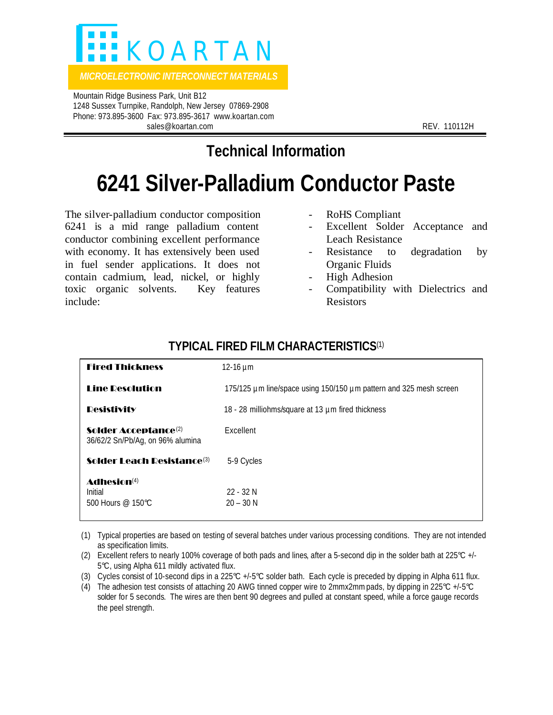

*MICROELECTRONIC INTERCONNECT MATERIALS* 

 Mountain Ridge Business Park, Unit B12 1248 Sussex Turnpike, Randolph, New Jersey 07869-2908 Phone: 973.895-3600 Fax: 973.895-3617 www.koartan.com sales@koartan.com **REV. 110112H** 

**Technical Information**

## **6241 Silver-Palladium Conductor Paste**

The silver-palladium conductor composition 6241 is a mid range palladium content conductor combining excellent performance with economy. It has extensively been used in fuel sender applications. It does not contain cadmium, lead, nickel, or highly toxic organic solvents. Key features include:

- RoHS Compliant
- Excellent Solder Acceptance and Leach Resistance
- Resistance to degradation by Organic Fluids
- High Adhesion
- Compatibility with Dielectrics and Resistors

| <b>Fired Thickness</b>                                                      | 12-16 $\mu$ m                                                      |
|-----------------------------------------------------------------------------|--------------------------------------------------------------------|
| <b>Line Desolution</b>                                                      | 175/125 µm line/space using 150/150 µm pattern and 325 mesh screen |
| <b>Desistivity</b>                                                          | 18 - 28 milliohms/square at 13 µm fired thickness                  |
| <b>Solder Acceptance</b> <sup>(2)</sup><br>36/62/2 Sn/Pb/Ag, on 96% alumina | Excellent                                                          |
| Solder I each Desistance(3)                                                 | 5-9 Cycles                                                         |
| Adhesin(4)<br>Initial<br>500 Hours $@$ 150°C.                               | $22 - 32N$<br>$20 - 30 N$                                          |

## **TYPICAL FIRED FILM CHARACTERISTICS**(1)

(1) Typical properties are based on testing of several batches under various processing conditions. They are not intended as specification limits.

- (2) Excellent refers to nearly 100% coverage of both pads and lines, after a 5-second dip in the solder bath at 225°C +/- 5°C, using Alpha 611 mildly activated flux.
- (3) Cycles consist of 10-second dips in a 225°C +/-5°C solder bath. Each cycle is preceded by dipping in Alpha 611 flux.
- (4) The adhesion test consists of attaching 20 AWG tinned copper wire to 2mmx2mm pads, by dipping in 225°C +/-5°C solder for 5 seconds. The wires are then bent 90 degrees and pulled at constant speed, while a force gauge records the peel strength.